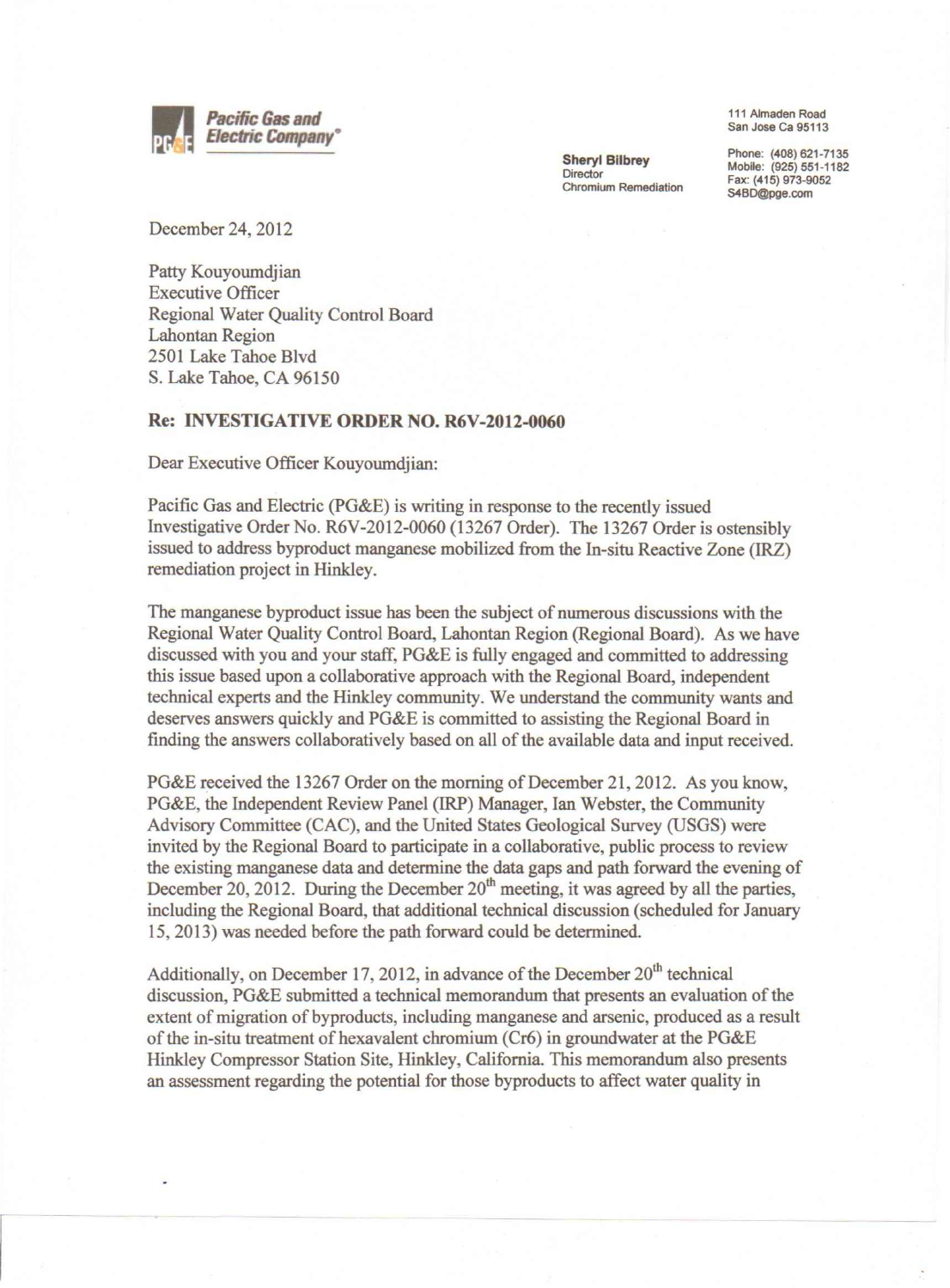

Sheryl Bilbrey **Director** Chromium Remediation

111 Almaden Road San Jose Ca 95113

Phone: (408) 621-7135 Mobile: (925) 551-1182 Fax: (415) 973-9052 [S4BD@pge.com](mailto:S4BD@pge.com)

December 24,2012

Patty Kouyoumdjian Executive Officer Regional Water Quality Control Board Lahontan Region 2501 Lake Tahoe Blvd S. Lake Tahoe, CA 96150

## Re: INVESTIGATIVE **ORDER** NO. R6V-2012-0060

Dear Executive Officer Kouyoumdjian:

Pacific Gas and Electric (PG&E) is writing in response to the recently issued Investigative Order No. R6V-2012-0060 (13267 Order). The 13267 Order is ostensibly issued to address byproduct manganese mobilized from the In-situ Reactive Zone (IRZ) remediation project in Hinkley.

The manganese byproduct issue has been the subject of numerous discussions with the Regional Water Quality Control Board, Lahontan Region (Regional Board). As we have discussed with you and your staff, PG&E is fully engaged and committed to addressing this issue based upon a collaborative approach with the Regional Board, independent technical experts and the Hinkley community. We understand the community wants and deserves answers quickly and PG&E is committed to assisting the Regional Board in finding the answers collaboratively based on all of the available data and input received.

PG&E received the 13267 Order on the morning of December 21, 2012. As you know, PG&E, the Independent Review Panel (IRP) Manager, Ian Webster, the Community Advisory Committee (CAC), and the United States Geological Survey (USGS) were invited by the Regional Board to participate in a collaborative, public process to review the existing manganese data and determine the data gaps and path forward the evening of December 20, 2012. During the December  $20<sup>th</sup>$  meeting, it was agreed by all the parties, including the Regional Board, that additional technical discussion (scheduled for January 15,2013) was needed before the path forward could be determined.

Additionally, on December 17, 2012, in advance of the December  $20<sup>th</sup>$  technical discussion, PG&E submitted a technical memorandum that presents an evaluation of the extent of migration of byproducts, including manganese and arsenic, produced as a result of the in-situ treatment of hexavalent chromium ( $Cr6$ ) in groundwater at the PG&E Hinkley Compressor Station Site, Hinkley, California. This memorandum also presents an assessment regarding the potential for those byproducts to affect water quality in